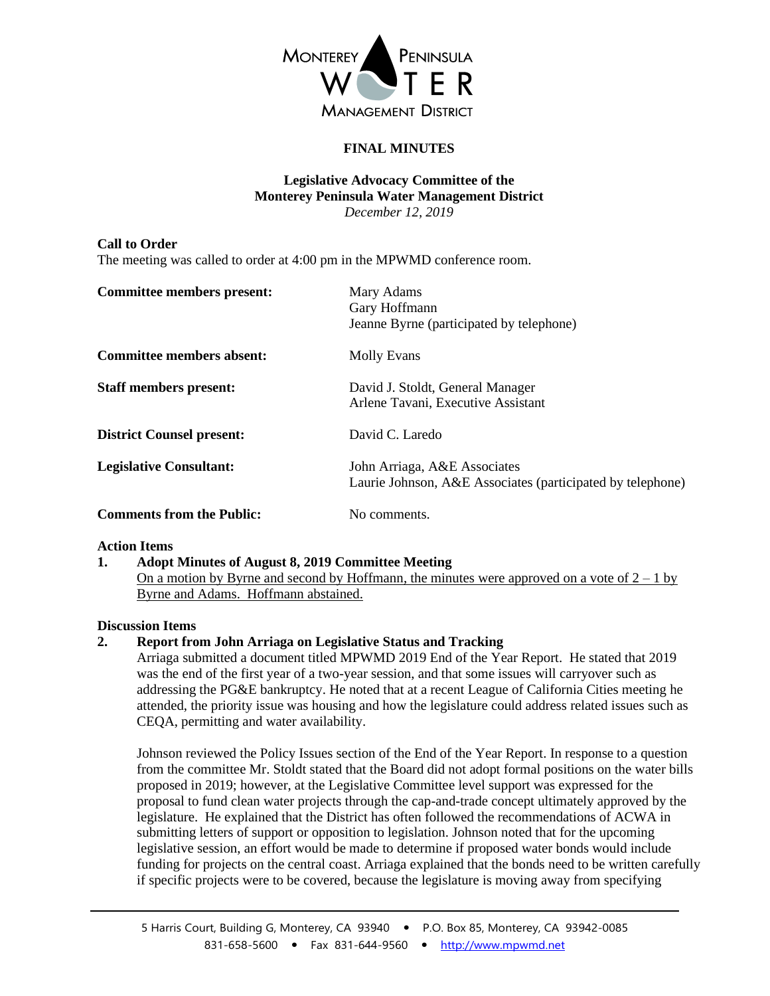

# **FINAL MINUTES**

#### **Legislative Advocacy Committee of the Monterey Peninsula Water Management District** *December 12, 2019*

#### **Call to Order**

The meeting was called to order at 4:00 pm in the MPWMD conference room.

| <b>Committee members present:</b> | Mary Adams<br>Gary Hoffmann<br>Jeanne Byrne (participated by telephone)                    |
|-----------------------------------|--------------------------------------------------------------------------------------------|
| Committee members absent:         | Molly Evans                                                                                |
| <b>Staff members present:</b>     | David J. Stoldt, General Manager<br>Arlene Tavani, Executive Assistant                     |
| <b>District Counsel present:</b>  | David C. Laredo                                                                            |
| <b>Legislative Consultant:</b>    | John Arriaga, A&E Associates<br>Laurie Johnson, A&E Associates (participated by telephone) |
| <b>Comments from the Public:</b>  | No comments.                                                                               |

#### **Action Items**

**1. Adopt Minutes of August 8, 2019 Committee Meeting** On a motion by Byrne and second by Hoffmann, the minutes were approved on a vote of  $2 - 1$  by Byrne and Adams. Hoffmann abstained.

## **Discussion Items**

## **2. Report from John Arriaga on Legislative Status and Tracking**

Arriaga submitted a document titled MPWMD 2019 End of the Year Report. He stated that 2019 was the end of the first year of a two-year session, and that some issues will carryover such as addressing the PG&E bankruptcy. He noted that at a recent League of California Cities meeting he attended, the priority issue was housing and how the legislature could address related issues such as CEQA, permitting and water availability.

Johnson reviewed the Policy Issues section of the End of the Year Report. In response to a question from the committee Mr. Stoldt stated that the Board did not adopt formal positions on the water bills proposed in 2019; however, at the Legislative Committee level support was expressed for the proposal to fund clean water projects through the cap-and-trade concept ultimately approved by the legislature. He explained that the District has often followed the recommendations of ACWA in submitting letters of support or opposition to legislation. Johnson noted that for the upcoming legislative session, an effort would be made to determine if proposed water bonds would include funding for projects on the central coast. Arriaga explained that the bonds need to be written carefully if specific projects were to be covered, because the legislature is moving away from specifying